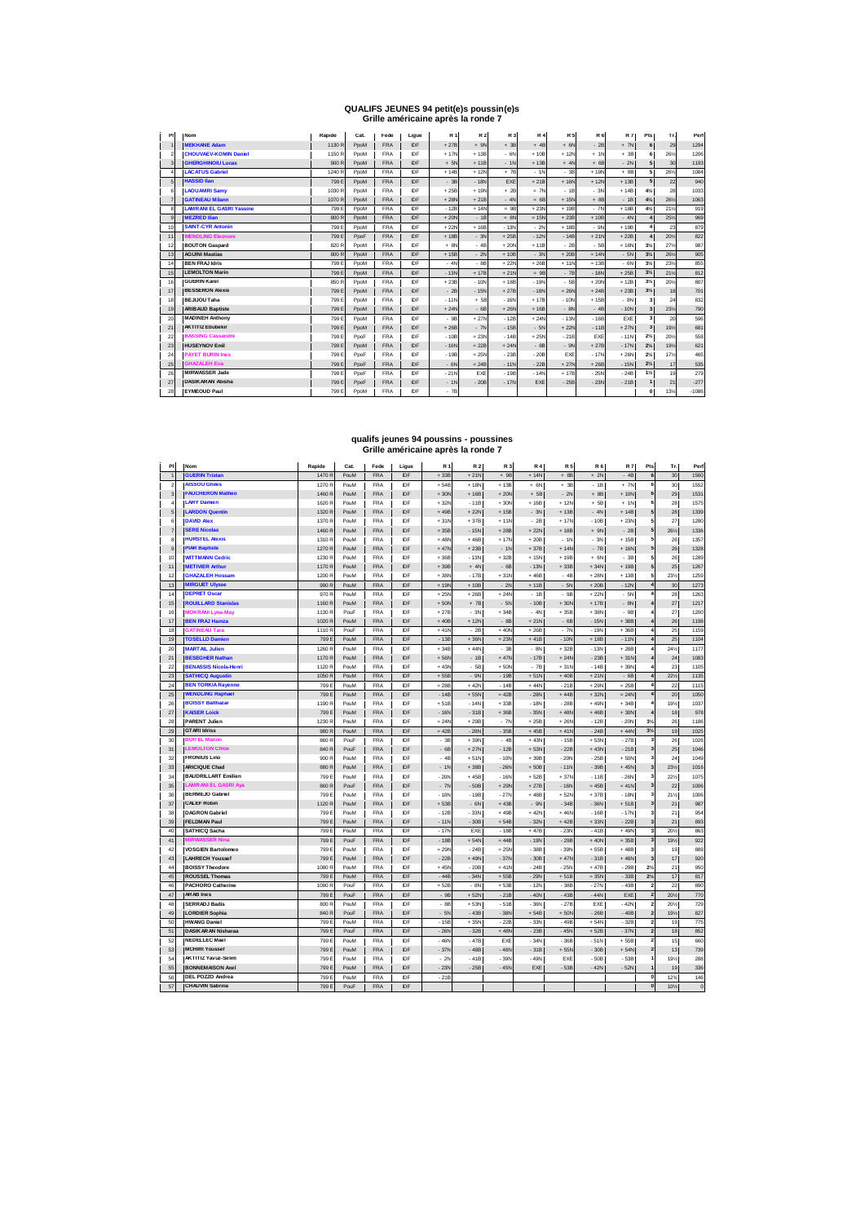### **QUALIFS JEUNES 94 petit(e)s poussin(e)s Grille américaine après la ronde 7**

| PI                      | <b>Nom</b>                      | Rapide | Cat. | Fede       | Ligue      | <b>R1</b> | <b>R2</b> | R 3    | <b>R4</b> | <b>R5</b> | <b>R6</b> | <b>R7</b> | Pts            | Tr. | Perf    |
|-------------------------|---------------------------------|--------|------|------------|------------|-----------|-----------|--------|-----------|-----------|-----------|-----------|----------------|-----|---------|
| $\mathbf{1}$            | <b>IMEKHANE Adam</b>            | 1130 R | PpoM | <b>FRA</b> | <b>IDE</b> | $+27B$    | $+ 9N$    | $+3B$  | $+4B$     | $+ 6N$    | $-2B$     | $+ 7N$    | e              | 29  | 1294    |
| $\mathbf 2$             | <b>CHOUVAEV-KOMIN Daniel</b>    | 1150 R | PpoM | <b>FRA</b> | IDE        | $+17N$    | $+13B$    | $-6N$  | $+10B$    | $+12N$    | $+1N$     | $+3B$     | 6              | 26% | 1206    |
| $\overline{\mathbf{3}}$ | <b>GHERGHINOIU Lucas</b>        | 900 R  | PpoM | <b>FRA</b> | IDE        | $+ 5N$    | $+11B$    | $-1N$  | $+13B$    | $+ 4N$    | $+6B$     | $-2N$     |                | 30  | 1193    |
| $\overline{a}$          | <b>LACATUS Gabriel</b>          | 1240 R | PpoM | <b>FRA</b> | IDE        | $+14B$    | $+12N$    | $+ 7B$ | $-1N$     | $-38$     | $+19N$    | $+9B$     |                | 26% | 1084    |
| 5                       | <b>HASSID Ilan</b>              | 799 E  | PpoM | <b>FRA</b> | IDF        | $-3B$     | $-18N$    | EXE    | $+21B$    | $+16N$    | $+12N$    | $+13B$    | F              | 22  | 940     |
| 6                       | <b>LAOU AMRI Samv</b>           | 1030 R | PpoM | <b>FRA</b> | IDE        | $+25B$    | $+19N$    | $+2B$  | $= 7N$    | $-18$     | $-3N$     | $+14B$    | 4%             | 28  | 1033    |
| $\overline{7}$          | <b>GATINEAU Milann</b>          | 1070 R | PpoM | <b>FRA</b> | IDE        | $+28N$    | $+21B$    | $-4N$  | $= 6B$    | $+15N$    | $+8B$     | $-1B$     | $4\frac{1}{2}$ | 26% | 1063    |
| 8                       | <b>LAMRANI EL GASRI Yassine</b> | 799 E  | PpoM | <b>FRA</b> | IDF        | $-12B$    | $+14N$    | $= 9B$ | $+23N$    | $+19B$    | $-7N$     | $+18B$    | 4%             | 21% | 919     |
| 9                       | <b>IMEZRED Ilian</b>            | 800 R  | PpoM | <b>FRA</b> | IDE        | $+20N$    | $-1B$     | $= 8N$ | $= 15N$   | $+23B$    | $+10B$    | $-4N$     |                | 25% | 969     |
| 10                      | <b>SAINT-CYR Antonin</b>        | 799 E  | PpoM | <b>FRA</b> | IDF        | $+22h$    | $+16B$    | $-13N$ | $-2N$     | $+18B$    | $-9N$     | $+19B$    |                | 23  | 879     |
| 11                      | <b>WENDLING Eleonore</b>        | 799 E  | PpoF | <b>FRA</b> | IDE        | $+18B$    | $-3N$     | $+25B$ | $-12N$    | $-14B$    | $+21N$    | $+22B$    |                | 20% | 822     |
| 12                      | <b>BOUTON Gaspard</b>           | 820 R  | PpoM | <b>FRA</b> | IDF        | $+ 8N$    | $-4B$     | $+20N$ | $+11B$    | $-2B$     | $-5B$     | $= 16N$   | $3\frac{1}{2}$ | 27% | 987     |
| 13                      | <b>AGUINI Mastias</b>           | 800 R  | PpoM | <b>FRA</b> | IDE        | $+15B$    | $-2N$     | $+10B$ | $-3N$     | $+20B$    | $= 14N$   | $-5N$     | 3%             | 26% | 905     |
| 14                      | <b>BEN FRAJ Idris</b>           | 799 E  | PpoM | <b>FRA</b> | IDE        | $-4N$     | $-88$     | $+22N$ | $+26B$    | $+11N$    | $= 13B$   | $-6N$     | $3\frac{1}{4}$ | 23% | 855     |
| 15                      | <b>LEMOLTON Marin</b>           | 799 E  | PpoM | <b>FRA</b> | IDF        | $-13N$    | $+17B$    | $+21N$ | $= 9B$    | $-7B$     | $-18N$    | $+25B$    | 3%             | 21% | 812     |
| 16                      | <b>GUERIN Karel</b>             | 850 R  | PpoM | <b>FRA</b> | IDE        | $+23B$    | $-10N$    | $+18B$ | $-19N$    | $-58$     | $+20N$    | $= 12B$   | $3\frac{1}{4}$ | 20% | 807     |
| 17                      | <b>BESSERON Alexis</b>          | 799 E  | PpoM | <b>FRA</b> | IDE        | $-2B$     | $-15N$    | $+27B$ | $-18N$    | $= 26N$   | $+24B$    | $+23B$    | $3\frac{1}{4}$ | 18  | 701     |
| 18                      | <b>BEJIJOU Taha</b>             | 799 E  | PpoM | <b>FRA</b> | IDE        | $-11N$    | $+5B$     | $-16N$ | $+17B$    | $-10N$    | $+15B$    | $-8N$     | 3              | 24  | 832     |
| 19                      | <b>ARIBAUD Baptiste</b>         | 799 E  | PpoM | <b>FRA</b> | IDE        | $+24N$    | $-6B$     | $+26N$ | $+16B$    | $-8N$     | $-4B$     | $-10N$    |                | 23% | 790     |
| 20                      | <b>MADINEH Anthony</b>          | 799 E  | PpoM | <b>FRA</b> | IDE        | $-9B$     | $+27N$    | $-12B$ | $+24N$    | $-13N$    | $-16B$    | EXE       | ٠              | 20  | 596     |
| 21                      | <b>AKTITIZ Ebubekir</b>         | 799 E  | PpoM | <b>FRA</b> | IDE        | $+26B$    | $-7N$     | $-15B$ | $-5N$     | $+22N$    | $-11B$    | $+27N$    |                | 19% | 681     |
| 22                      | <b>BASSING Cassandre</b>        | 799 E  | PpoF | <b>FRA</b> | IDE        | $-10B$    | $= 23N$   | $-14B$ | $+25N$    | $-21B$    | EXE       | $-11N$    | 2%             | 20% | 558     |
| 23                      | <b>HUSEYNOV Emil</b>            | 799 E  | PpoM | <b>FRA</b> | IDE        | $-16N$    | $= 22B$   | $+24N$ | $-8B$     | $-9N$     | $+27B$    | $-17N$    | $2\frac{1}{4}$ | 19% | 621     |
| 24                      | <b>PAYET BURIN Ines</b>         | 799 E  | PpoF | <b>FRA</b> | IDF        | $-19B$    | $= 25N$   | $-23B$ | $-20B$    | EXE       | $-17N$    | $+26N$    | 2%             | 17% | 465     |
| 25                      | <b>GHAZALEH Eva</b>             | 799 E  | PpoF | <b>FRA</b> | IDF        | $-6N$     | $= 24B$   | $-11N$ | $-22B$    | $+27N$    | $+26B$    | $-15N$    | 2%             | 17  | 535     |
| 26                      | <b>MIRWASSER Jade</b>           | 799 E  | PpoF | <b>FRA</b> | IDF        | $-21N$    | EXE       | $-19B$ | $-14N$    | $= 17B$   | $-25N$    | $-24B$    | $1\frac{1}{2}$ | 19  | 279     |
| 27                      | DASIKARAN Abisha                | 799 E  | PpoF | <b>FRA</b> | IDF        | $-1N$     | $-20B$    | $-17N$ | EXE       | $-25B$    | $-23N$    | $-21B$    |                | 21  | $-277$  |
| 28                      | <b>EYMEOUD Paul</b>             | 799 E  | PpoM | <b>FRA</b> | IDE        | $-7B$     |           |        |           |           |           |           | $\Omega$       | 13% | $-1086$ |

# **qualifs jeunes 94 poussins - poussines Grille américaine après la ronde 7**

| PI             | Nom                                          | Rapide          | Cat.         | Fede                     | Ligue      | R 1                | R 2              | R 3              | <b>R4</b>        | R <sub>5</sub>   | R 6              | <b>R7</b>        | Pts                     | Tr.             | Perf         |
|----------------|----------------------------------------------|-----------------|--------------|--------------------------|------------|--------------------|------------------|------------------|------------------|------------------|------------------|------------------|-------------------------|-----------------|--------------|
| $\overline{1}$ | <b>GUERIN Tristan</b>                        | 1470 R          | PouM         | <b>FRA</b>               | IDF        | $+33B$             | $+21N$           | $+9B$            | $+14N$           | $+8B$            | $+ 2N$           | $-4B$            | 6                       | 30              | 1560         |
| $\overline{2}$ | <b>AISSOU Ghiles</b>                         | 1270 R          | PouM         | <b>FRA</b>               | IDF        | $+54B$             | $+18N$           | $+13B$           | $+ 6N$           | $+3B$            | $-1B$            | $+ 7h$           | 6                       | 30              | 1552         |
| 3              | <b>FAUCHERON Matheo</b>                      | 1460 R          | PouM         | FRA                      | IDF        | $+30N$             | $+16B$           | $+206$           | $+5B$            | $-20$            | $+8B$            | $+10h$           | 6                       | 29              | 1531         |
| 4              | <b>LARY Damien</b>                           | 1620 R          | PouM         | <b>FRA</b>               | IDF        | $+32N$             | $-11B$           | $+30N$           | $+16B$           | $+12h$           | $+5B$            | $+1$             | 6                       | 28              | 1575         |
| 5              | <b>LARDON Quentin</b>                        | 1320 R          | PouM         | FRA                      | IDF        | $+49B$             | $+22N$           | $+15B$           | $-3N$            | $+13B$           | $-4N$            | $+14B$           | 5                       | 28              | 1339         |
| 6              | <b>DAVID Alex</b>                            | 1370 R          | PouM         | <b>FRA</b>               | IDF        | $+31N$             | $+37B$           | $+11h$           | $-2B$            | $+17h$           | $-10B$           | $+23$            | 5                       | 27              | 1280         |
| $\overline{7}$ | <b>SERE Nicolas</b>                          | 1460 R          | PouM         | <b>FRA</b>               | IDF        | $+35B$             | $-15N$           | $+28B$           | $+22N$           | $+18B$           | $+ 9N$           | $-2B$            | 5                       | 261/2           | 1336         |
| 8              | <b>HURSTEL Alexis</b>                        | 1310 R          | PouM         | FRA                      | IDF        | $+48N$             | $+46B$           | $+17N$           | $+20B$           | $-1N$            | $-3N$            | $+15B$           | 5                       | 26              | 1357         |
| $\overline{9}$ | <b>PIAR Baptiste</b>                         | 1270 R          | PouM         | FRA                      | IDF        | $+47N$             | $+23B$           | $-11$            | $+37B$           | $+ 14N$          | $-7B$            | $+16N$           | 5                       | $26\,$          | 1328         |
| 10             | <b>WITTMANN Cedric</b>                       | 1230 R          | PouM         | FRA                      | IDF        | $+36B$             | $-13N$           | $+32B$           | $+15N$           | $+19B$           | $+ 6N$           | $-3B$            | 5                       | 26              | 1289         |
| 11             | <b>METIVIER Arthur</b>                       | 1170 R          | PouM         | <b>FRA</b>               | IDF        | $+39B$             | $+ 4N$           | $-68$            | $-13N$           | $+33B$           | $+34N$           | $+19B$           | 5                       | 25              | 1267         |
| 12             | <b>GHAZALEH Hossam</b>                       | 1200 R          | PouM         | <b>FRA</b>               | IDF        | $+38N$             | $-17B$           | $+31N$           | $+46B$           | $-4B$            | $+28N$           | $+13B$           | 5                       | 23%             | 1259         |
| 13             | <b>MIRGUET Ulysse</b>                        | 990 R           | PouM         | FRA                      | IDF        | $+19N$             | $+10B$           | $-2N$            | $+11B$           | $-5N$            | $+20B$           | $-12N$           | $\pmb{4}$               | 30              | 1273         |
| 14             | <b>DEPRET Oscar</b>                          | 970 R           | PouM         | <b>FRA</b>               | IDF        | $+25N$             | $+26B$           | $+24N$           | $-18$            | $-9B$            | $+22N$           | $-5N$            | 4                       | 28              | 1263         |
| 15             | <b>ROUILLARD Stanislas</b>                   | 1160 R          | PouM         | FRA                      | IDF        | $+50N$             | $+ 7B$           | $-5N$            | $-10B$           | $+30h$           | $+17B$           | $-8N$            | $\boldsymbol{4}$        | 27              | 1217         |
| 16             | <b>MOKRANI Lyna-May</b>                      | 1130 R          | PouF         | <b>FRA</b>               | IDF        | $+27B$             | $-3N$            | $+34B$           | $-4N$            | $+35B$           | $+38N$           | $-9B$            | $\overline{\mathbf{4}}$ | 27              | 1200         |
| 17             | <b>BEN FRAJ Hamza</b>                        | 1020 R          | PouM         | FRA                      | IDF        | $+40B$             | $+ 12N$          | $-8B$            | $+21N$           | $-6B$            | $-15N$           | $+38B$           | $\pmb{4}$               | $26\,$          | 1198         |
| 18             | <b>GATINEAU Tara</b>                         | 1110R           | PouF         | <b>FRA</b>               | IDF        | $+41N$             | $-2B$            | $+40N$           | $+26B$           | $-7N$            | $-19N$           | $+36B$           | $\overline{\bf 4}$      | 25              | 1159         |
| 19             | <b>TOSELLO Damien</b>                        | 799 E           | PouM         | FRA                      | IDF        | $-13B$             | $+36N$           | $+23N$           | $+41B$           | $-10N$           | $+18B$           | $-11N$           | $\pmb{4}$               | 25              | 1104         |
| 20             | <b>MARTAIL Julien</b>                        | 1260 R          | PouM         | FRA                      | IDF        | $+34B$             | $+44N$           | $-38$            | $-8N$            | $+32B$           | $-13N$           | $+28B$           | $\pmb{4}$               | 24%             | 1177         |
| 21             | <b>BESEGHER Nathan</b>                       | 1170 R          | PouM         | FRA                      | IDF        | $+56N$             | $-18$            | $+47N$           | $-17B$           | $+24$            | $-23B$           | $+31N$           | $\pmb{4}$               | 24              | 1083         |
| 22             | <b>BENASSIS Nicola-Henri</b>                 | 1120 R          | PouM         | FRA                      | IDF        | $+43N$             | $-5B$            | $+50N$           | $-7B$            | $+31h$           | $-14B$           | $+39N$           | $\pmb{4}$               | 23              | 1105         |
| 23             | <b>SATHICQ Augustin</b>                      | 1050 R          | PouM         | FRA                      | IDF        | $+55B$             | $-9N$            | $-19E$           | $+51N$           | $+40B$           | $+21N$           | $-6B$            | 4 <sub>1</sub>          | 22%             | 1135         |
| 24             | <b>BEN TORKIA Rayenne</b>                    | 799 E           | PouM         | <b>FRA</b>               | IDF        | $= 288$            | $+42N$           | $-14B$           | $+44N$           | $-21B$           | $+29N$           | $= 25B$          | $\overline{\mathbf{4}}$ | 22              | 1115         |
| 25             | <b>WENDLING Raphael</b>                      | 799 E           | PouM         | <b>FRA</b>               | IDF        | $-14B$             | $+55N$           | $= 42B$          | $-28N$           | $+44B$           | $+32N$           | $= 24N$          | $\overline{\mathbf{4}}$ | 20              | 1050         |
| 26             | <b>BOISSY Balthazar</b>                      | 1190 R          | PouM         | <b>FRA</b>               | IDF        | $+51B$             | $-14N$           | $+33B$           | $-18N$           | $-28B$           | $+49N$           | $+34B$           | 4                       | 19%             | 1037         |
| 27             | <b>KAISER Loick</b>                          | 799 E           |              |                          | IDF        | $-16N$             | $-31B$           | $+36B$           | $-35N$           | $+48N$           | $+46B$           | $+30N$           | $\pmb{4}$               |                 | 978          |
|                | <b>PARENT Julien</b>                         |                 | PouM         | FRA                      |            |                    |                  |                  |                  |                  |                  |                  | $3\frac{1}{2}$          | 18              |              |
| 28<br>29       | <b>GTARI Idriss</b>                          | 1230 R<br>980 R | PouM<br>PouM | <b>FRA</b><br>FRA        | IDF<br>IDF | $= 24N$<br>$= 42B$ | $+29B$<br>$-28N$ | $-7N$<br>$-35B$  | $+25B$<br>$+45B$ | $+26!$<br>$+41N$ | $-12B$<br>$-24B$ | $-200$<br>$+44N$ | $3\frac{1}{2}$          | 26              | 1186<br>1025 |
| 30             | <b>BOITEL Manon</b>                          |                 |              |                          | IDF        |                    |                  | $-48$            |                  |                  |                  |                  |                         | 19              |              |
| 31             | <b>LEMOLTON Chloe</b>                        | 860 R<br>840 R  | PouF<br>PouF | FRA<br><b>FRA</b>        | IDF        | $-38$<br>$-6B$     | $+39N$<br>$+27N$ | $-12B$           | $+43N$<br>$+53N$ | $-15B$<br>$-22B$ | $+53N$<br>$+43N$ | $-27B$<br>$-21B$ | 3                       | 26<br>25        | 1026<br>1046 |
| 32             | <b>FRONIUS Lino</b>                          | 900 R           | PouM         | <b>FRA</b>               | IDF        | $-4B$              | $+51N$           | $-10N$           | $+39B$           | $-20N$           | $-25B$           | $+50N$           | 3<br>$\mathbf{3}$       | 24              | 1049         |
|                | <b>ARICIQUE Chad</b>                         |                 |              |                          |            |                    |                  |                  |                  |                  |                  |                  | $\overline{\mathbf{3}}$ |                 |              |
| 33             | <b>BAUDRILLART Emilien</b>                   | 880 R           | PouM         | FRA                      | IDF        | $-1N$              | $+38B$           | $-26N$           | $+50B$           | $-11N$           | $-39B$           | $+45N$           |                         | $23\frac{1}{2}$ | 1016         |
| 34             | <b>AMR ANI EL GASRI</b>                      | 799 E           | PouM         | FRA                      | IDF        | $-20N$             | $+45B$           | $-16N$           | $+52B$           | $+37h$           | $-11B$           | $-26N$           | $\mathbf{3}$            | 22%             | 1075         |
| 35             |                                              | 860 R           | PouF         | <b>FRA</b>               | IDF        | $-7N$              | $-50B$           | $+29$            | $+27B$           | $-16N$           | $= 45B$          | $= 41N$          | $\mathbf 3$             | 22              | 1006         |
| 36             | <b>BERMEJO Gabriel</b>                       | 799 E           | PouM         | <b>FRA</b>               | IDF        | $-10N$             | $-19B$           | $-27N$           | $+48B$           | $+52$            | $+37B$           | $-18N$           | $\mathbf{3}$            | 21%             | 1006         |
| 37             | <b>CALEF Robin</b>                           | 1120 R          | PouM         | FRA                      | IDF        | $+53B$             | $-6N$            | $+43E$           | $-9N$            | $-34B$           | $-36N$           | $+51B$           | $\overline{\mathbf{3}}$ | 21              | 987          |
| 38<br>39       | <b>DAGRON Gabriel</b><br><b>FELDMAN Paul</b> | 799 E<br>799 E  | PouM<br>PouM | <b>FRA</b><br><b>FRA</b> | IDF<br>IDF | $-12B$<br>$-11N$   | $-33N$<br>$-30B$ | $+49E$<br>$+54B$ | $+42N$<br>$-32N$ | $+46$<br>$+42B$  | $-16B$           | $-17N$<br>$-22B$ | $\mathbf{3}$            | 21              | 954          |
|                | SATHICQ Sacha                                |                 |              |                          |            |                    |                  |                  |                  |                  | $+33N$           |                  | 3                       | 21              | 893          |
| 40             |                                              | 799 E           | PouM         | FRA                      | IDF        | $-17N$             | EXE              | $-18E$           | $+47B$           | $-23N$           | $-41B$           | $+49h$           | 3                       | 20%             | 863          |
| 41             |                                              | 799 E           | PouF         | FRA                      | IDF        | $-18B$             | $+54N$           | $= 44B$          | $-19N$           | $-29B$           | $+40N$           | $= 35B$          | $\overline{\mathbf{3}}$ | 19%             | 922          |
| 42             | <b>VOSGIEN Bartolomeo</b>                    | 799 E           | PouM         | FRA                      | IDF        | $= 29N$            | $-24B$           | $= 25$           | $-38B$           | $-39N$           | $+55B$           | $+48B$           | 3                       | 19              | 889          |
| 43             | <b>LAHRECH Youssef</b>                       | 799 E           | PouM         | <b>FRA</b>               | IDF        | $-22B$             | $+49N$           | $-37N$           | $-30B$           | $+47N$           | $-31B$           | $+46N$           | 3                       | $17\,$          | 920          |
| 44             | <b>BOISSY Theodore</b>                       | 1080 R          | PouM         | <b>FRA</b>               | IDF        | $+45N$             | $-20B$           | $= 41°$          | $-24B$           | $-25N$           | $+47B$           | $-29B$           | $2\frac{1}{2}$          | 21              | 950          |
| 45             | <b>ROUSSEL Thomas</b>                        | 799 E           | PouM         | FRA                      | IDF        | $-44B$             | $-34N$           | $+55B$           | $-29N$           | $+51B$           | $= 35N$          | $-33B$           | $2\frac{1}{2}$          | $17\,$          | 817          |
| 46             | <b>PACHORO Catherine</b>                     | 1090 R          | PouF         | <b>FRA</b>               | IDF        | $+52B$             | $-8N$            | $+53E$           | $-12N$           | $-38B$           | $-27N$           | $-43B$           | 2                       | 22              | 890          |
| 47             | ARAB Ines                                    | 799 E           | PouF         | FRA                      | IDF        | $-9B$              | $+52N$           | $-21E$           | $-40h$           | $-43B$           | $-44N$           | EXE              | $\mathbf 2$             | 20%             | 770          |
| 48             | <b>SERRADJ Badis</b>                         | 800 R           | PouM         | <b>FRA</b>               | IDF        | $-88$              | $+53N$           | $-51B$           | $-36N$           | $-27B$           | EXE              | $-42N$           | $\mathbf 2$             | 20%             | 729          |
| 49             | <b>LORDIER Sophia</b>                        | 840 R           | PouF         | FRA                      | IDF        | $-5N$              | $-43B$           | $-38h$           | $+54B$           | $+50h$           | $-26B$           | $-40B$           | $\mathbf 2$             | 19%             | 827          |
| 50             | <b>HWANG Daniel</b>                          | 799 E           | PouM         | FRA                      | IDF        | $-15B$             | $+35N$           | $-22E$           | $-33N$           | $-49B$           | $+ 54N$          | $-32B$           | $\mathbf 2$             | 19              | 775          |
| 51             | <b>DASIKARAN Nisharaa</b>                    | 799 E           | PouF         | <b>FRA</b>               | IDF        | $-26N$             | $-32B$           | $+48$            | $-23B$           | $-45N$           | $+52B$           | $-37N$           | $\mathbf 2$             | 18              | 852          |
| 52             | <b>NEDELLEC Mael</b>                         | 799 E           | PouM         | FRA                      | IDF        | $-46N$             | $-47B$           | EXE              | $-34N$           | $-36B$           | $-51N$           | $+55B$           | $\overline{2}$          | 15              | 660          |
| 53             | <b>MCHIRI Youssef</b>                        | 799 E           | PouM         | FRA                      | IDF        | $-37N$             | $-48B$           | $-46N$           | $-31B$           | $+55h$           | $-30B$           | $+ 54N$          | 2                       | 13              | 739          |
| 54             | <b>AKTITIZ Yavuz-Selim</b>                   | 799 E           | PouM         | <b>FRA</b>               | IDF        | $-2N$              | $-41B$           | $-39h$           | $-49N$           | EXE              | $-50B$           | $-53B$           | 1                       | 19%             | 288          |
| 55             | <b>BONNEMAISON Axel</b>                      | 799 E           | PouM         | <b>FRA</b>               | IDF        | $-23N$             | $-25B$           | $-45N$           | EXE              | $-53B$           | $-42N$           | $-52N$           | $\mathbf{1}$            | 19              | 336          |
| 56             | DEL POZZO Andrea                             | 799 E           | PouM         | <b>FRA</b>               | IDE        | $-21B$             |                  |                  |                  |                  |                  |                  | $\pmb{0}$               | 12%             | 146          |
| 57             | <b>CHAUVIN Sabrina</b>                       | 799 E           | PouF         | <b>FRA</b>               | IDF        |                    |                  |                  |                  |                  |                  |                  | $\bf{0}$                | 10%             | $\bf 0$      |